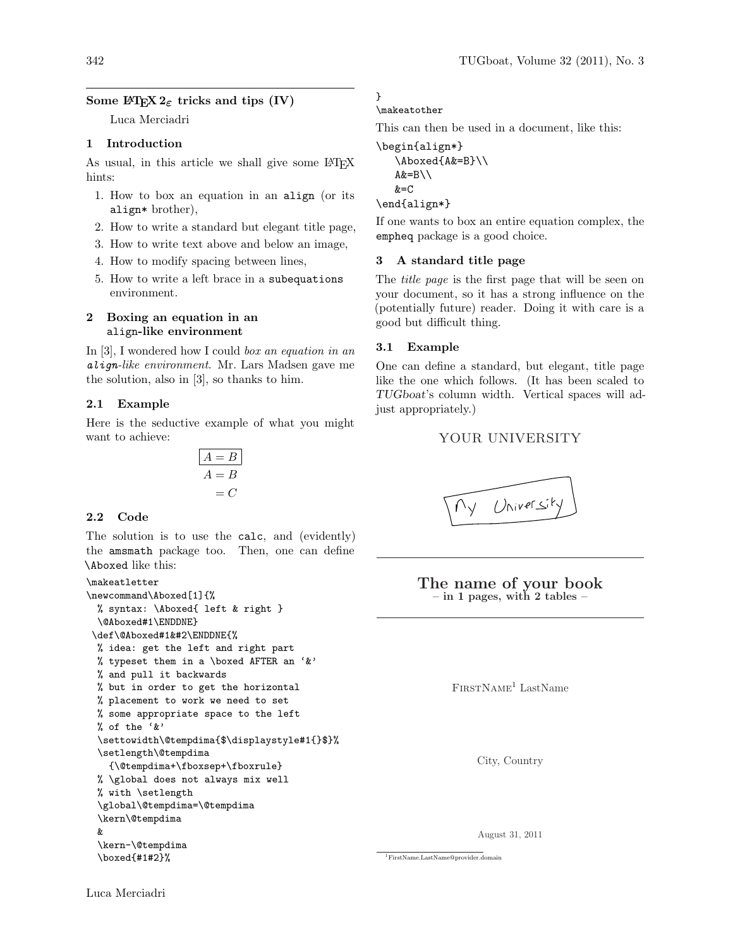# Some IATEX  $2\varepsilon$  tricks and tips (IV)

Luca Merciadri

#### 1 Introduction

As usual, in this article we shall give some LATEX hints:

- 1. How to box an equation in an align (or its align\* brother),
- 2. How to write a standard but elegant title page,
- 3. How to write text above and below an image,
- 4. How to modify spacing between lines,
- 5. How to write a left brace in a subequations environment.

## 2 Boxing an equation in an align-like environment

In [\[3\]](#page-2-0), I wondered how I could box an equation in an align-like environment. Mr. Lars Madsen gave me the solution, also in [\[3\]](#page-2-0), so thanks to him.

## 2.1 Example

Here is the seductive example of what you might want to achieve:

$$
A = B
$$
  

$$
A = B
$$
  

$$
= C
$$

#### 2.2 Code

The solution is to use the calc, and (evidently) the amsmath package too. Then, one can define \Aboxed like this:

```
\makeatletter
\newcommand\Aboxed[1]{%
 % syntax: \Aboxed{ left & right }
 \@Aboxed#1\ENDDNE}
\def\@Aboxed#1&#2\ENDDNE{%
 % idea: get the left and right part
 % typeset them in a \boxed AFTER an '&'
 % and pull it backwards
 % but in order to get the horizontal
 % placement to work we need to set
 % some appropriate space to the left
 % of the '&'
 \settowidth\@tempdima{$\displaystyle#1{}$}%
 \setlength\@tempdima
    {\@tempdima+\fboxsep+\fboxrule}
 % \global does not always mix well
 % with \setlength
  \global\@tempdima=\@tempdima
  \kern\@tempdima
 &
 \kern-\@tempdima
  \boxed{#1#2}%
```
} \makeatother

This can then be used in a document, like this:

```
\begin{align*}
```
\Aboxed{A&=B}\\  $A&=B\setminus\setminus$  $&=C$ 

### \end{align\*}

If one wants to box an entire equation complex, the empheq package is a good choice.

#### 3 A standard title page

The title page is the first page that will be seen on your document, so it has a strong influence on the (potentially future) reader. Doing it with care is a good but difficult thing.

## 3.1 Example

One can define a standard, but elegant, title page like the one which follows. (It has been scaled to TUGboat's column width. Vertical spaces will adjust appropriately.)

# YOUR UNIVERSITY

## The name of your book  $-$  in 1 pages, with 2 tables  $-$

 $FIRSTNAME<sup>1</sup> LastName$  $FIRSTNAME<sup>1</sup> LastName$  $FIRSTNAME<sup>1</sup> LastName$ 

City, Country

August 31, 2011

<span id="page-0-0"></span><sup>1</sup>[FirstName.LastName@provider.domain](mailto:FirstName.LastName@ provider.domain)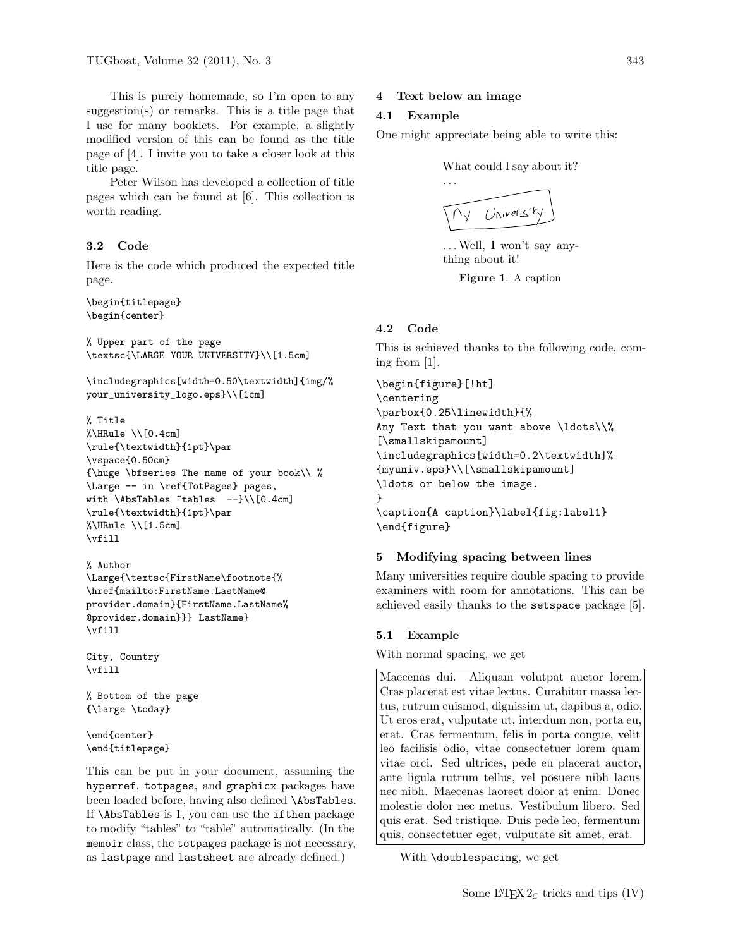This is purely homemade, so I'm open to any suggestion(s) or remarks. This is a title page that I use for many booklets. For example, a slightly modified version of this can be found as the title page of [\[4\]](#page-2-1). I invite you to take a closer look at this title page.

Peter Wilson has developed a collection of title pages which can be found at [\[6\]](#page-2-2). This collection is worth reading.

## 3.2 Code

Here is the code which produced the expected title page.

\begin{titlepage} \begin{center}

% Upper part of the page \textsc{\LARGE YOUR UNIVERSITY}\\[1.5cm]

\includegraphics[width=0.50\textwidth]{img/% your\_university\_logo.eps}\\[1cm]

#### % Title

 $\Lambda \$  HRule  $\setminus$  [0.4cm] \rule{\textwidth}{1pt}\par \vspace{0.50cm} {\huge \bfseries The name of your book\\ % \Large -- in \ref{TotPages} pages, with \AbsTables ~tables --}\\[0.4cm] \rule{\textwidth}{1pt}\par  $\Lambda \$  HRule \\[1.5cm] \vfill

#### % Author

\Large{\textsc{FirstName\footnote{% \href{mailto:FirstName.LastName@ provider.domain}{FirstName.LastName% @provider.domain}}} LastName} \vfill

```
City, Country
\vfill
```
% Bottom of the page {\large \today}

\end{center} \end{titlepage}

This can be put in your document, assuming the hyperref, totpages, and graphicx packages have been loaded before, having also defined \AbsTables. If \AbsTables is 1, you can use the ifthen package to modify "tables" to "table" automatically. (In the memoir class, the totpages package is not necessary, as lastpage and lastsheet are already defined.)

## 4 Text below an image

## 4.1 Example

One might appreciate being able to write this:

What could I say about it?



. . .Well, I won't say anything about it!

Figure 1: A caption

# 4.2 Code

This is achieved thanks to the following code, coming from [\[1\]](#page-2-3).

```
\begin{figure}[!ht]
\centering
\parbox{0.25\linewidth}{%
Any Text that you want above \ldots\\%
[\smallskipamount]
\includegraphics[width=0.2\textwidth]%
{myuniv.eps}\\[\smallskipamount]
\ldots or below the image.
}
\caption{A caption}\label{fig:label1}
\end{figure}
```
# 5 Modifying spacing between lines

Many universities require double spacing to provide examiners with room for annotations. This can be achieved easily thanks to the setspace package [\[5\]](#page-2-4).

## 5.1 Example

With normal spacing, we get

Maecenas dui. Aliquam volutpat auctor lorem. Cras placerat est vitae lectus. Curabitur massa lectus, rutrum euismod, dignissim ut, dapibus a, odio. Ut eros erat, vulputate ut, interdum non, porta eu, erat. Cras fermentum, felis in porta congue, velit leo facilisis odio, vitae consectetuer lorem quam vitae orci. Sed ultrices, pede eu placerat auctor, ante ligula rutrum tellus, vel posuere nibh lacus nec nibh. Maecenas laoreet dolor at enim. Donec molestie dolor nec metus. Vestibulum libero. Sed quis erat. Sed tristique. Duis pede leo, fermentum quis, consectetuer eget, vulputate sit amet, erat.

With \doublespacing, we get